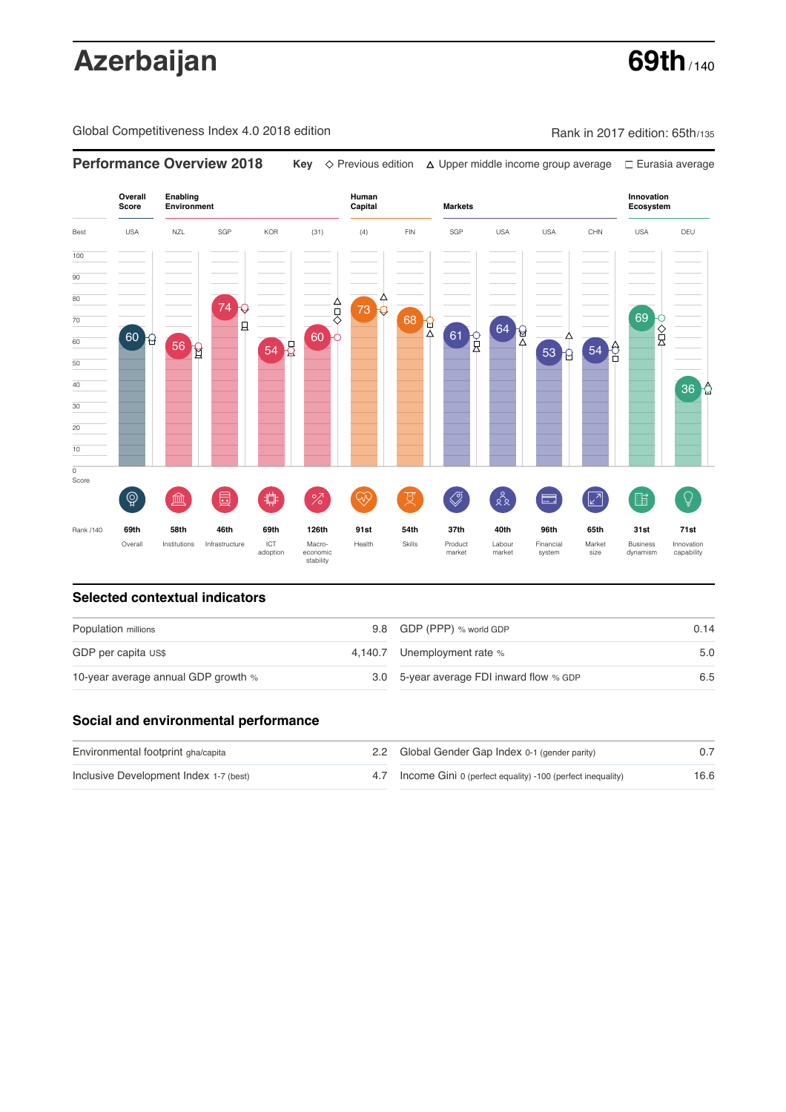# Azerbaijan **69th**

Global Competitiveness Index 4.0 2018 edition Company Rank in 2017 edition: 65th/135



### **Selected contextual indicators**

| Population millions                 |  | 9.8 GDP (PPP) % world GDP                | 0.14 |  |
|-------------------------------------|--|------------------------------------------|------|--|
| GDP per capita US\$                 |  | 4,140.7 Unemployment rate %              | 5.0  |  |
| 10-year average annual GDP growth % |  | 3.0 5-year average FDI inward flow % GDP | 6.5  |  |

### **Social and environmental performance**

| Environmental footprint gha/capita     |  | 2.2 Global Gender Gap Index 0-1 (gender parity)                |      |
|----------------------------------------|--|----------------------------------------------------------------|------|
| Inclusive Development Index 1-7 (best) |  | 4.7 Income Gini 0 (perfect equality) -100 (perfect inequality) | 16.6 |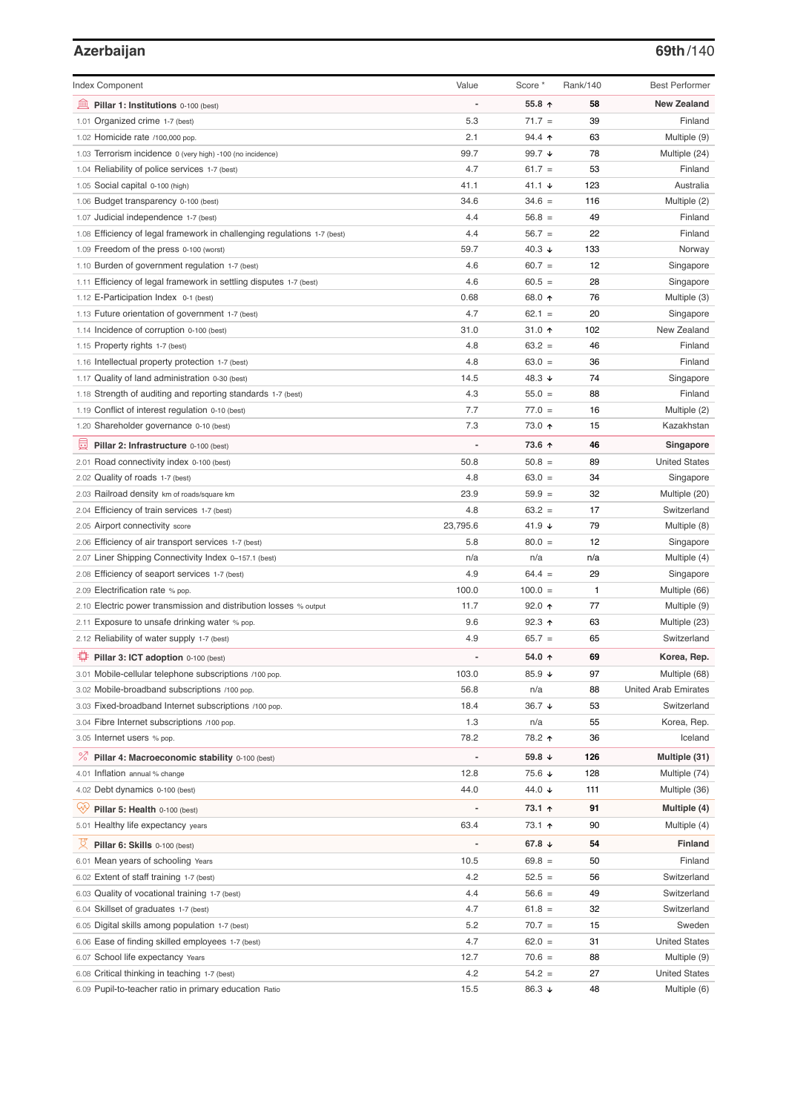# **Azerbaijan 69th**/140

| <b>Index Component</b>                                                   | Value                    | Score *           | Rank/140 | <b>Best Performer</b>       |
|--------------------------------------------------------------------------|--------------------------|-------------------|----------|-----------------------------|
| 寙<br>Pillar 1: Institutions 0-100 (best)                                 | Ĩ.                       | 55.8 ↑            | 58       | <b>New Zealand</b>          |
| 1.01 Organized crime 1-7 (best)                                          | 5.3                      | $71.7 =$          | 39       | Finland                     |
| 1.02 Homicide rate /100,000 pop.                                         | 2.1                      | 94.4 ↑            | 63       | Multiple (9)                |
| 1.03 Terrorism incidence 0 (very high) -100 (no incidence)               | 99.7                     | 99.7 $\sqrt{ }$   | 78       | Multiple (24)               |
| 1.04 Reliability of police services 1-7 (best)                           | 4.7                      | $61.7 =$          | 53       | Finland                     |
| 1.05 Social capital 0-100 (high)                                         | 41.1                     | 41.1 $\sqrt{ }$   | 123      | Australia                   |
| 1.06 Budget transparency 0-100 (best)                                    | 34.6                     | $34.6 =$          | 116      | Multiple (2)                |
| 1.07 Judicial independence 1-7 (best)                                    | 4.4                      | $56.8 =$          | 49       | Finland                     |
| 1.08 Efficiency of legal framework in challenging regulations 1-7 (best) | 4.4                      | $56.7 =$          | 22       | Finland                     |
| 1.09 Freedom of the press 0-100 (worst)                                  | 59.7                     | 40.3 $\downarrow$ | 133      | Norway                      |
| 1.10 Burden of government regulation 1-7 (best)                          | 4.6                      | $60.7 =$          | 12       | Singapore                   |
| 1.11 Efficiency of legal framework in settling disputes 1-7 (best)       | 4.6                      | $60.5 =$          | 28       | Singapore                   |
| 1.12 E-Participation Index 0-1 (best)                                    | 0.68                     | 68.0 ↑            | 76       | Multiple (3)                |
| 1.13 Future orientation of government 1-7 (best)                         | 4.7                      | $62.1 =$          | 20       | Singapore                   |
| 1.14 Incidence of corruption 0-100 (best)                                | 31.0                     | 31.0 个            | 102      | New Zealand                 |
| 1.15 Property rights 1-7 (best)                                          | 4.8                      | $63.2 =$          | 46       | Finland                     |
| 1.16 Intellectual property protection 1-7 (best)                         | 4.8                      | $63.0 =$          | 36       | Finland                     |
| 1.17 Quality of land administration 0-30 (best)                          | 14.5                     | 48.3 ↓            | 74       | Singapore                   |
| 1.18 Strength of auditing and reporting standards 1-7 (best)             | 4.3                      | $55.0 =$          | 88       | Finland                     |
| 1.19 Conflict of interest regulation 0-10 (best)                         | 7.7                      | $77.0 =$          | 16       | Multiple (2)                |
| 1.20 Shareholder governance 0-10 (best)                                  | 7.3                      | 73.0 ↑            | 15       | Kazakhstan                  |
| 員<br>Pillar 2: Infrastructure 0-100 (best)                               | ÷,                       | 73.6 个            | 46       | Singapore                   |
| 2.01 Road connectivity index 0-100 (best)                                | 50.8                     | $50.8 =$          | 89       | <b>United States</b>        |
| 2.02 Quality of roads 1-7 (best)                                         | 4.8                      | $63.0 =$          | 34       | Singapore                   |
| 2.03 Railroad density km of roads/square km                              | 23.9                     | $59.9 =$          | 32       | Multiple (20)               |
| 2.04 Efficiency of train services 1-7 (best)                             | 4.8                      | $63.2 =$          | 17       | Switzerland                 |
| 2.05 Airport connectivity score                                          | 23,795.6                 | 41.9 $\sqrt{ }$   | 79       | Multiple (8)                |
| 2.06 Efficiency of air transport services 1-7 (best)                     | 5.8                      | $80.0 =$          | 12       | Singapore                   |
| 2.07 Liner Shipping Connectivity Index 0-157.1 (best)                    | n/a                      | n/a               | n/a      | Multiple (4)                |
| 2.08 Efficiency of seaport services 1-7 (best)                           | 4.9                      | $64.4 =$          | 29       | Singapore                   |
| 2.09 Electrification rate % pop.                                         | 100.0                    | $100.0 =$         | 1        | Multiple (66)               |
| 2.10 Electric power transmission and distribution losses % output        | 11.7                     | $92.0$ ↑          | 77       | Multiple (9)                |
| 2.11 Exposure to unsafe drinking water % pop.                            | 9.6                      | 92.3 $\uparrow$   | 63       | Multiple (23)               |
| 2.12 Reliability of water supply 1-7 (best)                              | 4.9                      | $65.7 =$          | 65       | Switzerland                 |
| O<br>Pillar 3: ICT adoption 0-100 (best)                                 |                          | 54.0 ↑            | 69       | Korea, Rep.                 |
| 3.01 Mobile-cellular telephone subscriptions /100 pop.                   | 103.0                    | 85.9 $\sqrt{ }$   | 97       | Multiple (68)               |
| 3.02 Mobile-broadband subscriptions /100 pop.                            | 56.8                     | n/a               | 88       | <b>United Arab Emirates</b> |
| 3.03 Fixed-broadband Internet subscriptions /100 pop.                    | 18.4                     | 36.7 ↓            | 53       | Switzerland                 |
| 3.04 Fibre Internet subscriptions /100 pop.                              | 1.3                      | n/a               | 55       | Korea, Rep.                 |
| 3.05 Internet users % pop.                                               | 78.2                     | 78.2 ተ            | 36       | Iceland                     |
| ℅<br>Pillar 4: Macroeconomic stability 0-100 (best)                      | $\overline{\phantom{a}}$ | 59.8 ↓            | 126      | Multiple (31)               |
| 4.01 Inflation annual % change                                           | 12.8                     | 75.6 ↓            | 128      | Multiple (74)               |
| 4.02 Debt dynamics 0-100 (best)                                          | 44.0                     | 44.0 ↓            | 111      | Multiple (36)               |
| Qÿ<br>Pillar 5: Health 0-100 (best)                                      | ÷                        | 73.1 ↑            | 91       | Multiple (4)                |
| 5.01 Healthy life expectancy years                                       | 63.4                     | 73.1 ↑            | 90       | Multiple (4)                |
|                                                                          | $\overline{a}$           |                   |          |                             |
| 文<br>Pillar 6: Skills 0-100 (best)                                       |                          | 67.8 $\sqrt{ }$   | 54       | Finland                     |
| 6.01 Mean years of schooling Years                                       | 10.5                     | $69.8 =$          | 50       | Finland                     |
| 6.02 Extent of staff training 1-7 (best)                                 | 4.2                      | $52.5 =$          | 56       | Switzerland                 |
| 6.03 Quality of vocational training 1-7 (best)                           | 4.4                      | $56.6 =$          | 49       | Switzerland                 |
| 6.04 Skillset of graduates 1-7 (best)                                    | 4.7                      | $61.8 =$          | 32       | Switzerland                 |
| 6.05 Digital skills among population 1-7 (best)                          | 5.2                      | $70.7 =$          | 15       | Sweden                      |
| 6.06 Ease of finding skilled employees 1-7 (best)                        | 4.7                      | $62.0 =$          | 31       | <b>United States</b>        |
| 6.07 School life expectancy Years                                        | 12.7                     | $70.6 =$          | 88       | Multiple (9)                |
| 6.08 Critical thinking in teaching 1-7 (best)                            | 4.2                      | $54.2 =$          | 27       | <b>United States</b>        |
| 6.09 Pupil-to-teacher ratio in primary education Ratio                   | 15.5                     | 86.3 ↓            | 48       | Multiple (6)                |